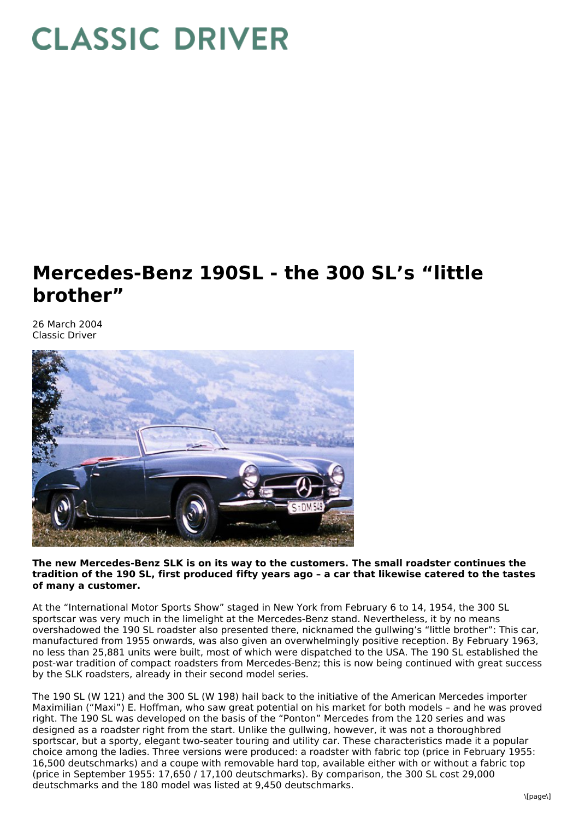## **CLASSIC DRIVER**

## **Mercedes-Benz 190SL - the 300 SL's "little brother"**

26 March 2004 Classic Driver



**The new Mercedes-Benz SLK is on its way to the customers. The small roadster continues the** tradition of the 190 SL, first produced fifty years ago - a car that likewise catered to the tastes **of many a customer.**

At the "International Motor Sports Show" staged in New York from February 6 to 14, 1954, the 300 SL sportscar was very much in the limelight at the Mercedes-Benz stand. Nevertheless, it by no means overshadowed the 190 SL roadster also presented there, nicknamed the gullwing's "little brother": This car, manufactured from 1955 onwards, was also given an overwhelmingly positive reception. By February 1963, no less than 25,881 units were built, most of which were dispatched to the USA. The 190 SL established the post-war tradition of compact roadsters from Mercedes-Benz; this is now being continued with great success by the SLK roadsters, already in their second model series.

The 190 SL (W 121) and the 300 SL (W 198) hail back to the initiative of the American Mercedes importer Maximilian ("Maxi") E. Hoffman, who saw great potential on his market for both models – and he was proved right. The 190 SL was developed on the basis of the "Ponton" Mercedes from the 120 series and was designed as a roadster right from the start. Unlike the gullwing, however, it was not a thoroughbred sportscar, but a sporty, elegant two-seater touring and utility car. These characteristics made it a popular choice among the ladies. Three versions were produced: a roadster with fabric top (price in February 1955: 16,500 deutschmarks) and a coupe with removable hard top, available either with or without a fabric top (price in September 1955: 17,650 / 17,100 deutschmarks). By comparison, the 300 SL cost 29,000 deutschmarks and the 180 model was listed at 9,450 deutschmarks.